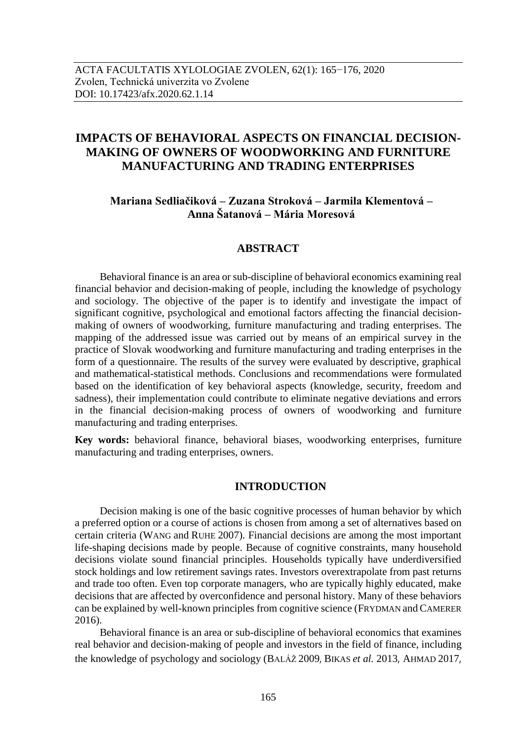# **IMPACTS OF BEHAVIORAL ASPECTS ON FINANCIAL DECISION-MAKING OF OWNERS OF WOODWORKING AND FURNITURE MANUFACTURING AND TRADING ENTERPRISES**

# **Mariana Sedliačiková – Zuzana Stroková – Jarmila Klementová – Anna Šatanová – Mária Moresová**

## **ABSTRACT**

Behavioral finance is an area or sub-discipline of behavioral economics examining real financial behavior and decision-making of people, including the knowledge of psychology and sociology. The objective of the paper is to identify and investigate the impact of significant cognitive, psychological and emotional factors affecting the financial decisionmaking of owners of woodworking, furniture manufacturing and trading enterprises. The mapping of the addressed issue was carried out by means of an empirical survey in the practice of Slovak woodworking and furniture manufacturing and trading enterprises in the form of a questionnaire. The results of the survey were evaluated by descriptive, graphical and mathematical-statistical methods. Conclusions and recommendations were formulated based on the identification of key behavioral aspects (knowledge, security, freedom and sadness), their implementation could contribute to eliminate negative deviations and errors in the financial decision-making process of owners of woodworking and furniture manufacturing and trading enterprises.

**Key words:** behavioral finance, behavioral biases, woodworking enterprises, furniture manufacturing and trading enterprises, owners.

## **INTRODUCTION**

Decision making is one of the basic cognitive processes of human behavior by which a preferred option or a course of actions is chosen from among a set of alternatives based on certain criteria (WANG and RUHE 2007). Financial decisions are among the most important life-shaping decisions made by people. Because of cognitive constraints, many household decisions violate sound financial principles. Households typically have underdiversified stock holdings and low retirement savings rates. Investors overextrapolate from past returns and trade too often. Even top corporate managers, who are typically highly educated, make decisions that are affected by overconfidence and personal history. Many of these behaviors can be explained by well-known principles from cognitive science (FRYDMAN and CAMERER 2016).

Behavioral finance is an area or sub-discipline of behavioral economics that examines real behavior and decision-making of people and investors in the field of finance, including the knowledge of psychology and sociology (BALÁŽ 2009, BIKAS *et al.* 2013, AHMAD 2017,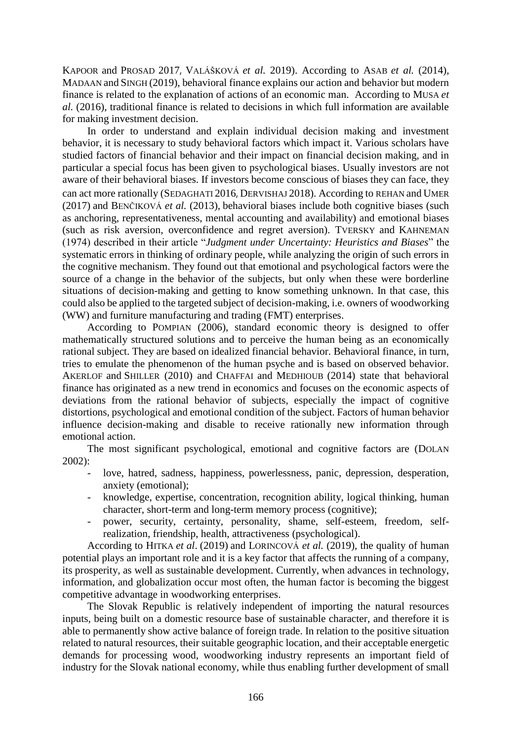KAPOOR and PROSAD 2017, VALÁŠKOVÁ *et al.* 2019). According to ASAB *et al.* (2014), MADAAN and SINGH (2019), behavioral finance explains our action and behavior but modern finance is related to the explanation of actions of an economic man. According to MUSA *et al.* (2016), traditional finance is related to decisions in which full information are available for making investment decision.

In order to understand and explain individual decision making and investment behavior, it is necessary to study behavioral factors which impact it. Various scholars have studied factors of financial behavior and their impact on financial decision making, and in particular a special focus has been given to psychological biases. Usually investors are not aware of their behavioral biases. If investors become conscious of biases they can face, they can act more rationally (SEDAGHATI 2016, DERVISHAJ 2018). According to REHAN and UMER (2017) and BENČIKOVÁ *et al.* (2013), behavioral biases include both cognitive biases (such as anchoring, representativeness, mental accounting and availability) and emotional biases (such as risk aversion, overconfidence and regret aversion). TVERSKY and KAHNEMAN (1974) described in their article "*Judgment under Uncertainty: Heuristics and Biases*" the systematic errors in thinking of ordinary people, while analyzing the origin of such errors in the cognitive mechanism. They found out that emotional and psychological factors were the source of a change in the behavior of the subjects, but only when these were borderline situations of decision-making and getting to know something unknown. In that case, this could also be applied to the targeted subject of decision-making, i.e. owners of woodworking (WW) and furniture manufacturing and trading (FMT) enterprises.

According to POMPIAN (2006), standard economic theory is designed to offer mathematically structured solutions and to perceive the human being as an economically rational subject. They are based on idealized financial behavior. Behavioral finance, in turn, tries to emulate the phenomenon of the human psyche and is based on observed behavior. AKERLOF and SHILLER (2010) and CHAFFAI and MEDHIOUB (2014) state that behavioral finance has originated as a new trend in economics and focuses on the economic aspects of deviations from the rational behavior of subjects, especially the impact of cognitive distortions, psychological and emotional condition of the subject. Factors of human behavior influence decision-making and disable to receive rationally new information through emotional action.

The most significant psychological, emotional and cognitive factors are (DOLAN 2002):

- love, hatred, sadness, happiness, powerlessness, panic, depression, desperation, anxiety (emotional);
- knowledge, expertise, concentration, recognition ability, logical thinking, human character, short-term and long-term memory process (cognitive);
- power, security, certainty, personality, shame, self-esteem, freedom, selfrealization, friendship, health, attractiveness (psychological).

According to HITKA *et al*. (2019) and LORINCOVÁ *et al.* (2019), the quality of human potential plays an important role and it is a key factor that affects the running of a company, its prosperity, as well as sustainable development. Currently, when advances in technology, information, and globalization occur most often, the human factor is becoming the biggest competitive advantage in woodworking enterprises.

The Slovak Republic is relatively independent of importing the natural resources inputs, being built on a domestic resource base of sustainable character, and therefore it is able to permanently show active balance of foreign trade. In relation to the positive situation related to natural resources, their suitable geographic location, and their acceptable energetic demands for processing wood, woodworking industry represents an important field of industry for the Slovak national economy, while thus enabling further development of small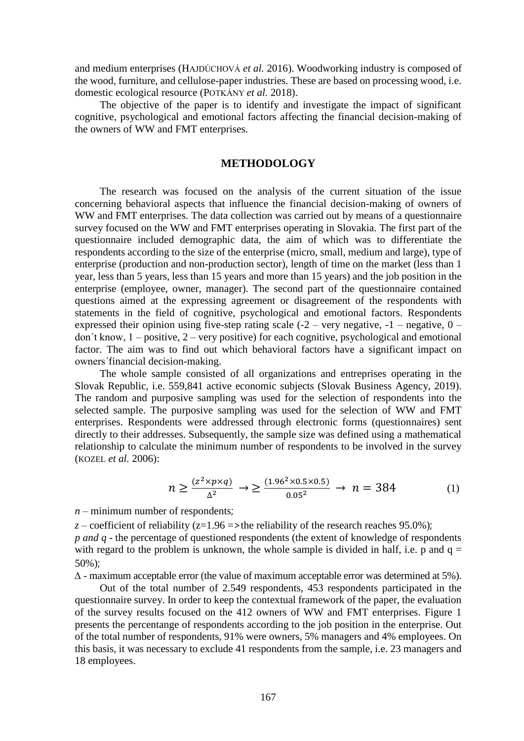and medium enterprises (HAJDÚCHOVÁ *et al.* 2016). Woodworking industry is composed of the wood, furniture, and cellulose-paper industries. These are based on processing wood, i.e. domestic ecological resource (POTKÁNY *et al.* 2018).

The objective of the paper is to identify and investigate the impact of significant cognitive, psychological and emotional factors affecting the financial decision-making of the owners of WW and FMT enterprises.

### **METHODOLOGY**

The research was focused on the analysis of the current situation of the issue concerning behavioral aspects that influence the financial decision-making of owners of WW and FMT enterprises. The data collection was carried out by means of a questionnaire survey focused on the WW and FMT enterprises operating in Slovakia. The first part of the questionnaire included demographic data, the aim of which was to differentiate the respondents according to the size of the enterprise (micro, small, medium and large), type of enterprise (production and non-production sector), length of time on the market (less than 1 year, less than 5 years, less than 15 years and more than 15 years) and the job position in the enterprise (employee, owner, manager). The second part of the questionnaire contained questions aimed at the expressing agreement or disagreement of the respondents with statements in the field of cognitive, psychological and emotional factors. Respondents expressed their opinion using five-step rating scale  $(-2 - \text{very negative}, -1 - \text{negative}, 0 - \text{0})$ don´t know, 1 – positive, 2 – very positive) for each cognitive, psychological and emotional factor. The aim was to find out which behavioral factors have a significant impact on owners´financial decision-making.

The whole sample consisted of all organizations and entreprises operating in the Slovak Republic, i.e. 559,841 active economic subjects (Slovak Business Agency, 2019). The random and purposive sampling was used for the selection of respondents into the selected sample. The purposive sampling was used for the selection of WW and FMT enterprises. Respondents were addressed through electronic forms (questionnaires) sent directly to their addresses. Subsequently, the sample size was defined using a mathematical relationship to calculate the minimum number of respondents to be involved in the survey (KOZEL *et al.* 2006):

$$
n \ge \frac{(z^2 \times p \times q)}{\Delta^2} \to \ge \frac{(1.96^2 \times 0.5 \times 0.5)}{0.05^2} \to n = 384
$$
 (1)

 $n$  – minimum number of respondents;

*z* – coefficient of reliability ( $z=1.96$  =>the reliability of the research reaches 95.0%); *p and q* - the percentage of questioned respondents (the extent of knowledge of respondents with regard to the problem is unknown, the whole sample is divided in half, i.e. p and  $q =$ 

50%);

*∆* - maximum acceptable error (the value of maximum acceptable error was determined at 5%).

Out of the total number of 2.549 respondents, 453 respondents participated in the questionnaire survey. In order to keep the contextual framework of the paper, the evaluation of the survey results focused on the 412 owners of WW and FMT enterprises. Figure 1 presents the percentange of respondents according to the job position in the enterprise. Out of the total number of respondents, 91% were owners, 5% managers and 4% employees. On this basis, it was necessary to exclude 41 respondents from the sample, i.e. 23 managers and 18 employees.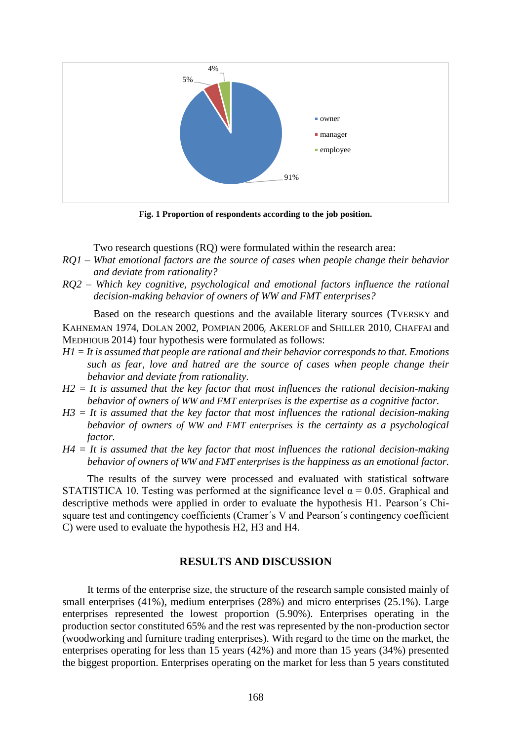

**Fig. 1 Proportion of respondents according to the job position.**

Two research questions (RQ) were formulated within the research area:

- *RQ1 – What emotional factors are the source of cases when people change their behavior and deviate from rationality?*
- *RQ2 – Which key cognitive, psychological and emotional factors influence the rational decision-making behavior of owners of WW and FMT enterprises?*

Based on the research questions and the available literary sources (TVERSKY and KAHNEMAN 1974, DOLAN 2002, POMPIAN 2006, AKERLOF and SHILLER 2010, CHAFFAI and MEDHIOUB 2014) four hypothesis were formulated as follows:

- *H1 = It is assumed that people are rational and their behavior corresponds to that. Emotions such as fear, love and hatred are the source of cases when people change their behavior and deviate from rationality.*
- *H2 = It is assumed that the key factor that most influences the rational decision-making behavior of owners of WW and FMT enterprises is the expertise as a cognitive factor.*
- *H3 = It is assumed that the key factor that most influences the rational decision-making behavior of owners of WW and FMT enterprises is the certainty as a psychological factor.*
- *H4 = It is assumed that the key factor that most influences the rational decision-making behavior of owners of WW and FMT enterprises is the happiness as an emotional factor.*

The results of the survey were processed and evaluated with statistical software STATISTICA 10. Testing was performed at the significance level  $\alpha = 0.05$ . Graphical and descriptive methods were applied in order to evaluate the hypothesis H1. Pearson´s Chisquare test and contingency coefficients (Cramer´s V and Pearson´s contingency coefficient C) were used to evaluate the hypothesis H2, H3 and H4.

#### **RESULTS AND DISCUSSION**

It terms of the enterprise size, the structure of the research sample consisted mainly of small enterprises (41%), medium enterprises (28%) and micro enterprises (25.1%). Large enterprises represented the lowest proportion (5.90%). Enterprises operating in the production sector constituted 65% and the rest was represented by the non-production sector (woodworking and furniture trading enterprises). With regard to the time on the market, the enterprises operating for less than 15 years (42%) and more than 15 years (34%) presented the biggest proportion. Enterprises operating on the market for less than 5 years constituted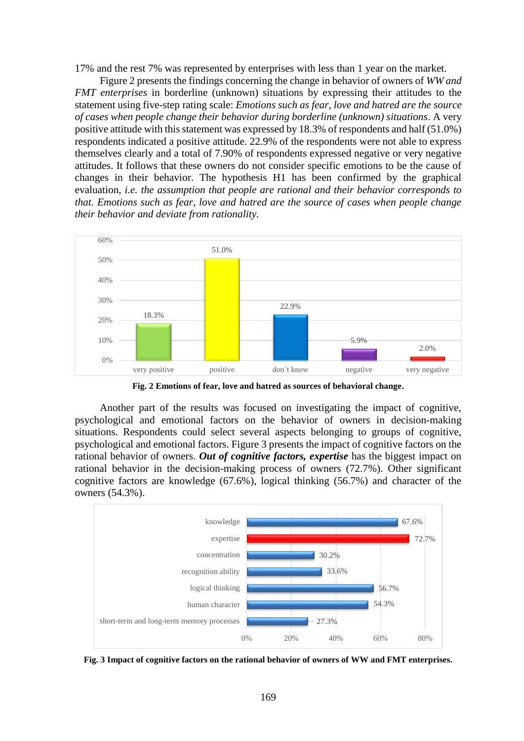17% and the rest 7% was represented by enterprises with less than 1 year on the market.

Figure 2 presents the findings concerning the change in behavior of owners of *WW and FMT enterprises* in borderline (unknown) situations by expressing their attitudes to the statement using five-step rating scale: *Emotions such as fear, love and hatred are the source of cases when people change their behavior during borderline (unknown) situations*. A very positive attitude with this statement was expressed by 18.3% of respondents and half (51.0%) respondents indicated a positive attitude. 22.9% of the respondents were not able to express themselves clearly and a total of 7.90% of respondents expressed negative or very negative attitudes. It follows that these owners do not consider specific emotions to be the cause of changes in their behavior. The hypothesis H1 has been confirmed by the graphical evaluation, *i.e. the assumption that people are rational and their behavior corresponds to that. Emotions such as fear, love and hatred are the source of cases when people change their behavior and deviate from rationality.*



**Fig. 2 Emotions of fear, love and hatred as sources of behavioral change.**

Another part of the results was focused on investigating the impact of cognitive, psychological and emotional factors on the behavior of owners in decision-making situations. Respondents could select several aspects belonging to groups of cognitive, psychological and emotional factors. Figure 3 presents the impact of cognitive factors on the rational behavior of owners. *Out of cognitive factors, expertise* has the biggest impact on rational behavior in the decision-making process of owners (72.7%). Other significant cognitive factors are knowledge (67.6%), logical thinking (56.7%) and character of the owners (54.3%).



**Fig. 3 Impact of cognitive factors on the rational behavior of owners of WW and FMT enterprises.**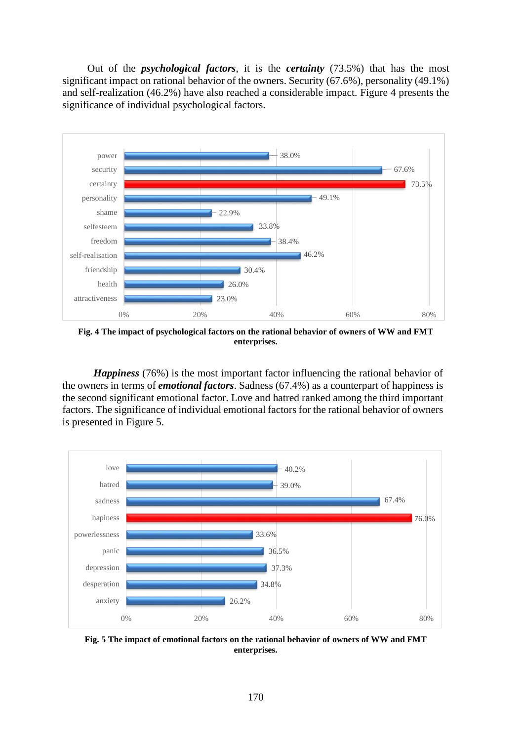Out of the *psychological factors*, it is the *certainty* (73.5%) that has the most significant impact on rational behavior of the owners. Security (67.6%), personality (49.1%) and self-realization (46.2%) have also reached a considerable impact. Figure 4 presents the significance of individual psychological factors.



**Fig. 4 The impact of psychological factors on the rational behavior of owners of WW and FMT enterprises.**

*Happiness* (76%) is the most important factor influencing the rational behavior of the owners in terms of *emotional factors*. Sadness (67.4%) as a counterpart of happiness is the second significant emotional factor. Love and hatred ranked among the third important factors. The significance of individual emotional factors for the rational behavior of owners is presented in Figure 5.



**Fig. 5 The impact of emotional factors on the rational behavior of owners of WW and FMT enterprises.**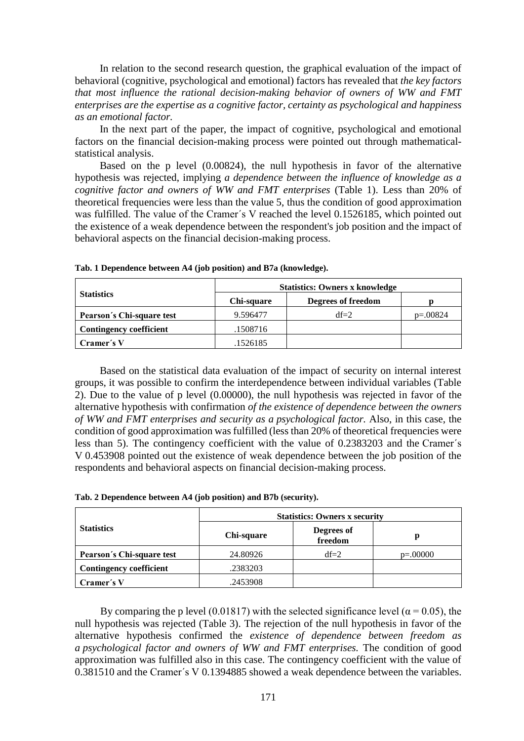In relation to the second research question, the graphical evaluation of the impact of behavioral (cognitive, psychological and emotional) factors has revealed that *the key factors that most influence the rational decision-making behavior of owners of WW and FMT enterprises are the expertise as a cognitive factor, certainty as psychological and happiness as an emotional factor.*

In the next part of the paper, the impact of cognitive, psychological and emotional factors on the financial decision-making process were pointed out through mathematicalstatistical analysis.

Based on the p level (0.00824), the null hypothesis in favor of the alternative hypothesis was rejected, implying *a dependence between the influence of knowledge as a cognitive factor and owners of WW and FMT enterprises* (Table 1). Less than 20% of theoretical frequencies were less than the value 5, thus the condition of good approximation was fulfilled. The value of the Cramer´s V reached the level 0.1526185, which pointed out the existence of a weak dependence between the respondent's job position and the impact of behavioral aspects on the financial decision-making process.

|                                | <b>Statistics: Owners x knowledge</b> |                    |            |
|--------------------------------|---------------------------------------|--------------------|------------|
| <b>Statistics</b>              | Chi-square                            | Degrees of freedom |            |
| Pearson's Chi-square test      | 9.596477                              | $df=2$             | $p=.00824$ |
| <b>Contingency coefficient</b> | .1508716                              |                    |            |
| Cramer's V                     | .1526185                              |                    |            |

**Tab. 1 Dependence between A4 (job position) and B7a (knowledge).**

Based on the statistical data evaluation of the impact of security on internal interest groups, it was possible to confirm the interdependence between individual variables (Table 2). Due to the value of p level (0.00000), the null hypothesis was rejected in favor of the alternative hypothesis with confirmation *of the existence of dependence between the owners of WW and FMT enterprises and security as a psychological factor.* Also, in this case, the condition of good approximation was fulfilled (less than 20% of theoretical frequencies were less than 5). The contingency coefficient with the value of 0.2383203 and the Cramer´s V 0.453908 pointed out the existence of weak dependence between the job position of the respondents and behavioral aspects on financial decision-making process.

|                                | <b>Statistics: Owners x security</b> |                       |            |
|--------------------------------|--------------------------------------|-----------------------|------------|
| <b>Statistics</b>              | Chi-square                           | Degrees of<br>freedom | р          |
| Pearson's Chi-square test      | 24.80926                             | $df=2$                | $p=.00000$ |
| <b>Contingency coefficient</b> | .2383203                             |                       |            |
| Cramer´s V                     | .2453908                             |                       |            |

**Tab. 2 Dependence between A4 (job position) and B7b (security).**

By comparing the p level (0.01817) with the selected significance level ( $\alpha$  = 0.05), the null hypothesis was rejected (Table 3). The rejection of the null hypothesis in favor of the alternative hypothesis confirmed the *existence of dependence between freedom as a psychological factor and owners of WW and FMT enterprises.* The condition of good approximation was fulfilled also in this case. The contingency coefficient with the value of 0.381510 and the Cramer´s V 0.1394885 showed a weak dependence between the variables.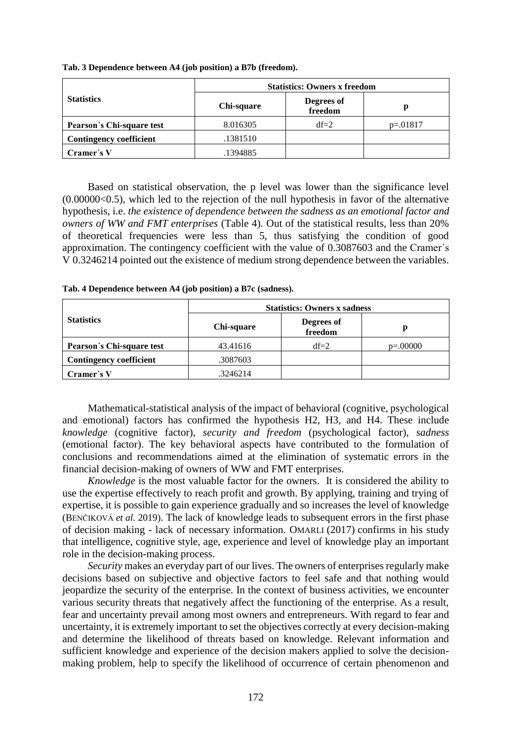|                                | <b>Statistics: Owners x freedom</b> |                       |            |
|--------------------------------|-------------------------------------|-----------------------|------------|
| <b>Statistics</b>              | Chi-square                          | Degrees of<br>freedom | р          |
| Pearson's Chi-square test      | 8.016305                            | $df=2$                | $p=.01817$ |
| <b>Contingency coefficient</b> | .1381510                            |                       |            |
| Cramer's V                     | .1394885                            |                       |            |

**Tab. 3 Dependence between A4 (job position) a B7b (freedom).**

Based on statistical observation, the p level was lower than the significance level  $(0.00000<0.5)$ , which led to the rejection of the null hypothesis in favor of the alternative hypothesis, i.e. *the existence of dependence between the sadness as an emotional factor and owners of WW and FMT enterprises* (Table 4)*.* Out of the statistical results, less than 20% of theoretical frequencies were less than 5, thus satisfying the condition of good approximation. The contingency coefficient with the value of 0.3087603 and the Cramer´s V 0.3246214 pointed out the existence of medium strong dependence between the variables.

|                                | <b>Statistics: Owners x sadness</b> |                       |            |
|--------------------------------|-------------------------------------|-----------------------|------------|
| <b>Statistics</b>              | Chi-square                          | Degrees of<br>freedom | р          |
| Pearson's Chi-square test      | 43.41616                            | $df=2$                | $p=.00000$ |
| <b>Contingency coefficient</b> | .3087603                            |                       |            |
| Cramer's V                     | .3246214                            |                       |            |

**Tab. 4 Dependence between A4 (job position) a B7c (sadness).**

Mathematical-statistical analysis of the impact of behavioral (cognitive, psychological and emotional) factors has confirmed the hypothesis H2, H3, and H4. These include *knowledge* (cognitive factor), *security and freedom* (psychological factor), *sadness* (emotional factor). The key behavioral aspects have contributed to the formulation of conclusions and recommendations aimed at the elimination of systematic errors in the financial decision-making of owners of WW and FMT enterprises.

*Knowledge* is the most valuable factor for the owners. It is considered the ability to use the expertise effectively to reach profit and growth. By applying, training and trying of expertise, it is possible to gain experience gradually and so increases the level of knowledge (BENČIKOVÁ *et al.* 2019). The lack of knowledge leads to subsequent errors in the first phase of decision making - lack of necessary information. OMARLI (2017) confirms in his study that intelligence, cognitive style, age, experience and level of knowledge play an important role in the decision-making process.

*Security* makes an everyday part of our lives. The owners of enterprises regularly make decisions based on subjective and objective factors to feel safe and that nothing would jeopardize the security of the enterprise. In the context of business activities, we encounter various security threats that negatively affect the functioning of the enterprise. As a result, fear and uncertainty prevail among most owners and entrepreneurs. With regard to fear and uncertainty, it is extremely important to set the objectives correctly at every decision-making and determine the likelihood of threats based on knowledge. Relevant information and sufficient knowledge and experience of the decision makers applied to solve the decisionmaking problem, help to specify the likelihood of occurrence of certain phenomenon and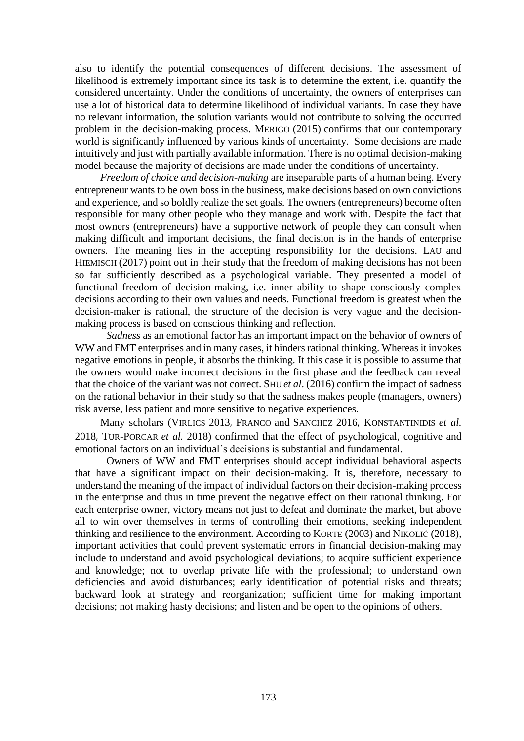also to identify the potential consequences of different decisions. The assessment of likelihood is extremely important since its task is to determine the extent, i.e. quantify the considered uncertainty. Under the conditions of uncertainty, the owners of enterprises can use a lot of historical data to determine likelihood of individual variants. In case they have no relevant information, the solution variants would not contribute to solving the occurred problem in the decision-making process. MERIGO (2015) confirms that our contemporary world is significantly influenced by various kinds of uncertainty. Some decisions are made intuitively and just with partially available information. There is no optimal decision-making model because the majority of decisions are made under the conditions of uncertainty.

*Freedom of choice and decision-making* are inseparable parts of a human being. Every entrepreneur wants to be own boss in the business, make decisions based on own convictions and experience, and so boldly realize the set goals. The owners (entrepreneurs) become often responsible for many other people who they manage and work with. Despite the fact that most owners (entrepreneurs) have a supportive network of people they can consult when making difficult and important decisions, the final decision is in the hands of enterprise owners. The meaning lies in the accepting responsibility for the decisions. LAU and HIEMISCH (2017) point out in their study that the freedom of making decisions has not been so far sufficiently described as a psychological variable. They presented a model of functional freedom of decision-making, i.e. inner ability to shape consciously complex decisions according to their own values and needs. Functional freedom is greatest when the decision-maker is rational, the structure of the decision is very vague and the decisionmaking process is based on conscious thinking and reflection.

*Sadness* as an emotional factor has an important impact on the behavior of owners of WW and FMT enterprises and in many cases, it hinders rational thinking. Whereas it invokes negative emotions in people, it absorbs the thinking. It this case it is possible to assume that the owners would make incorrect decisions in the first phase and the feedback can reveal that the choice of the variant was not correct. SHU *et al*. (2016) confirm the impact of sadness on the rational behavior in their study so that the sadness makes people (managers, owners) risk averse, less patient and more sensitive to negative experiences.

Many scholars (VIRLICS 2013, FRANCO and SANCHEZ 2016, KONSTANTINIDIS *et al.* 2018, TUR-PORCAR *et al.* 2018) confirmed that the effect of psychological, cognitive and emotional factors on an individual´s decisions is substantial and fundamental.

Owners of WW and FMT enterprises should accept individual behavioral aspects that have a significant impact on their decision-making. It is, therefore, necessary to understand the meaning of the impact of individual factors on their decision-making process in the enterprise and thus in time prevent the negative effect on their rational thinking. For each enterprise owner, victory means not just to defeat and dominate the market, but above all to win over themselves in terms of controlling their emotions, seeking independent thinking and resilience to the environment. According to KORTE (2003) and NIKOLIĆ (2018), important activities that could prevent systematic errors in financial decision-making may include to understand and avoid psychological deviations; to acquire sufficient experience and knowledge; not to overlap private life with the professional; to understand own deficiencies and avoid disturbances; early identification of potential risks and threats; backward look at strategy and reorganization; sufficient time for making important decisions; not making hasty decisions; and listen and be open to the opinions of others.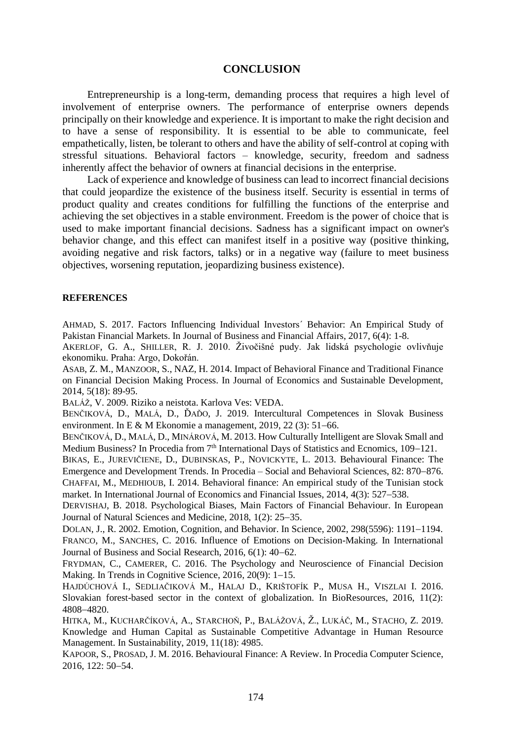#### **CONCLUSION**

Entrepreneurship is a long-term, demanding process that requires a high level of involvement of enterprise owners. The performance of enterprise owners depends principally on their knowledge and experience. It is important to make the right decision and to have a sense of responsibility. It is essential to be able to communicate, feel empathetically, listen, be tolerant to others and have the ability of self-control at coping with stressful situations. Behavioral factors – knowledge, security, freedom and sadness inherently affect the behavior of owners at financial decisions in the enterprise.

Lack of experience and knowledge of business can lead to incorrect financial decisions that could jeopardize the existence of the business itself. Security is essential in terms of product quality and creates conditions for fulfilling the functions of the enterprise and achieving the set objectives in a stable environment. Freedom is the power of choice that is used to make important financial decisions. Sadness has a significant impact on owner's behavior change, and this effect can manifest itself in a positive way (positive thinking, avoiding negative and risk factors, talks) or in a negative way (failure to meet business objectives, worsening reputation, jeopardizing business existence).

#### **REFERENCES**

AHMAD, S. 2017. Factors Influencing Individual Investors´ Behavior: An Empirical Study of Pakistan Financial Markets. In Journal of Business and Financial Affairs, 2017, 6(4): 1-8.

AKERLOF, G. A., SHILLER, R. J. 2010. Živočišné pudy. Jak lidská psychologie ovlivňuje ekonomiku. Praha: Argo, Dokořán.

ASAB, Z. M., MANZOOR, S., NAZ, H. 2014. Impact of Behavioral Finance and Traditional Finance on Financial Decision Making Process. In Journal of Economics and Sustainable Development, 2014, 5(18): 89-95.

BALÁŽ, V. 2009. Riziko a neistota. Karlova Ves: VEDA.

BENČIKOVÁ, D., MALÁ, D., ĎAĎO, J. 2019. Intercultural Competences in Slovak Business environment. In E & M Ekonomie a management,  $2019$ ,  $22$  (3):  $51-66$ .

BENČIKOVÁ, D., MALÁ, D., MINÁROVÁ, M. 2013. How Culturally Intelligent are Slovak Small and Medium Business? In Procedia from  $7<sup>th</sup>$  International Days of Statistics and Ecnomics, 109–121.

BIKAS, E., JUREVIČIENE, D., DUBINSKAS, P., NOVICKYTE, L. 2013. Behavioural Finance: The Emergence and Development Trends. In Procedia – Social and Behavioral Sciences, 82: 870–876. CHAFFAI, M., MEDHIOUB, I. 2014. Behavioral finance: An empirical study of the Tunisian stock market. In International Journal of Economics and Financial Issues, 2014, 4(3): 527–538.

DERVISHAJ, B. 2018. Psychological Biases, Main Factors of Financial Behaviour. In European Journal of Natural Sciences and Medicine, 2018, 1(2): 25–35.

DOLAN, J., R. 2002. Emotion, Cognition, and Behavior. In Science, 2002, 298(5596): 1191–1194. FRANCO, M., SANCHES, C. 2016. Influence of Emotions on Decision-Making. In International Journal of Business and Social Research,  $2016, 6(1)$ :  $40-62$ .

FRYDMAN, C., CAMERER, C. 2016. The Psychology and Neuroscience of Financial Decision Making. In Trends in Cognitive Science,  $2016$ ,  $20(9)$ :  $1-15$ .

HAJDÚCHOVÁ I., SEDLIAČIKOVÁ M., HALAJ D., KRIŠTOFÍK P., MUSA H., VISZLAI I. 2016. Slovakian forest-based sector in the context of globalization. In BioResources, 2016, 11(2): 48084820.

HITKA, M., KUCHARČÍKOVÁ, A., STARCHOŇ, P., BALÁŽOVÁ, Ž., LUKÁČ, M., STACHO, Z. 2019. Knowledge and Human Capital as Sustainable Competitive Advantage in Human Resource Management. In Sustainability, 2019, 11(18): 4985.

KAPOOR, S., PROSAD, J. M. 2016. Behavioural Finance: A Review. In Procedia Computer Science, 2016, 122: 50-54.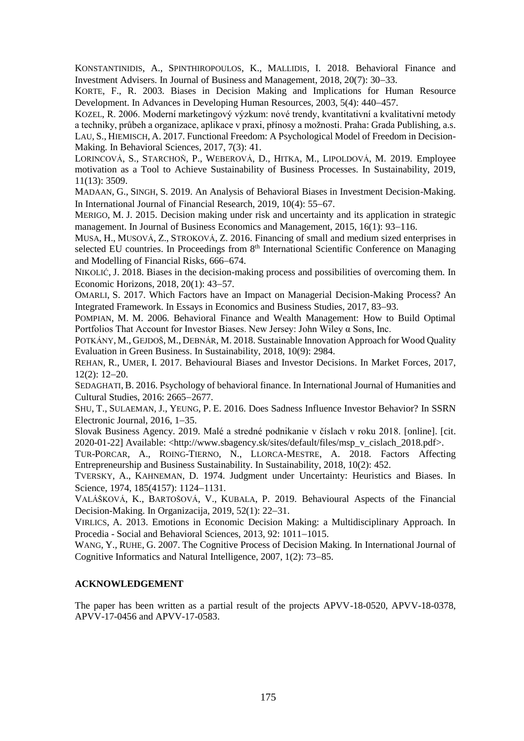KONSTANTINIDIS, A., SPINTHIROPOULOS, K., MALLIDIS, I. 2018. Behavioral Finance and Investment Advisers. In Journal of Business and Management, 2018, 20(7): 30-33.

KORTE, F., R. 2003. Biases in Decision Making and Implications for Human Resource Development. In Advances in Developing Human Resources, 2003, 5(4): 440–457.

KOZEL, R. 2006. Moderní marketingový výzkum: nové trendy, kvantitativní a kvalitativní metody a techniky, průbeh a organizace, aplikace v praxi, přínosy a možnosti. Praha: Grada Publishing, a.s. LAU, S., HIEMISCH, A. 2017. Functional Freedom: A Psychological Model of Freedom in Decision-Making. In Behavioral Sciences, 2017, 7(3): 41.

LORINCOVÁ, S., STARCHOŇ, P., WEBEROVÁ, D., HITKA, M., LIPOLDOVÁ, M. 2019. Employee motivation as a Tool to Achieve Sustainability of Business Processes. In Sustainability, 2019, 11(13): 3509.

MADAAN, G., SINGH, S. 2019. An Analysis of Behavioral Biases in Investment Decision-Making. In International Journal of Financial Research, 2019, 10(4): 55–67.

MERIGO, M. J. 2015. Decision making under risk and uncertainty and its application in strategic management. In Journal of Business Economics and Management,  $2015$ ,  $16(1)$ : 93–116.

MUSA, H., MUSOVÁ, Z., STROKOVÁ, Z. 2016. Financing of small and medium sized enterprises in selected EU countries. In Proceedings from 8<sup>th</sup> International Scientific Conference on Managing and Modelling of Financial Risks, 666–674.

NIKOLIĆ, J. 2018. Biases in the decision-making process and possibilities of overcoming them. In Economic Horizons, 2018, 20(1): 43-57.

OMARLI, S. 2017. Which Factors have an Impact on Managerial Decision-Making Process? An Integrated Framework. In Essays in Economics and Business Studies, 2017, 83–93.

POMPIAN, M. M. 2006. Behavioral Finance and Wealth Management: How to Build Optimal Portfolios That Account for Investor Biases. New Jersey: John Wiley α Sons, Inc.

POTKÁNY, M., GEJDOŠ, M., DEBNÁR, M. 2018. Sustainable Innovation Approach for Wood Quality Evaluation in Green Business. In Sustainability, 2018, 10(9): 2984.

REHAN, R., UMER, I. 2017. Behavioural Biases and Investor Decisions. In Market Forces, 2017,  $12(2): 12-20.$ 

SEDAGHATI, B. 2016. Psychology of behavioral finance. In International Journal of Humanities and Cultural Studies, 2016: 2665-2677.

SHU, T., SULAEMAN, J., YEUNG, P. E. 2016. Does Sadness Influence Investor Behavior? In SSRN Electronic Journal,  $2016$ ,  $1-35$ .

Slovak Business Agency. 2019. Malé a stredné podnikanie v číslach v roku 2018. [online]. [cit. 2020-01-22] Available: <http://www.sbagency.sk/sites/default/files/msp\_v\_cislach\_2018.pdf>.

TUR-PORCAR, A., ROING-TIERNO, N., LLORCA-MESTRE, A. 2018. Factors Affecting Entrepreneurship and Business Sustainability. In Sustainability, 2018, 10(2): 452.

TVERSKY, A., KAHNEMAN, D. 1974. Judgment under Uncertainty: Heuristics and Biases. In Science, 1974, 185(4157): 1124-1131.

VALÁŠKOVÁ, K., BARTOŠOVÁ, V., KUBALA, P. 2019. Behavioural Aspects of the Financial Decision-Making. In Organizacija,  $2019, 52(1)$ :  $22-31$ .

VIRLICS, A. 2013. Emotions in Economic Decision Making: a Multidisciplinary Approach. In Procedia - Social and Behavioral Sciences, 2013, 92: 1011-1015.

WANG, Y., RUHE, G. 2007. The Cognitive Process of Decision Making. In International Journal of Cognitive Informatics and Natural Intelligence,  $2007$ ,  $1(2)$ :  $73-85$ .

### **ACKNOWLEDGEMENT**

The paper has been written as a partial result of the projects APVV-18-0520, APVV-18-0378, APVV-17-0456 and APVV-17-0583.